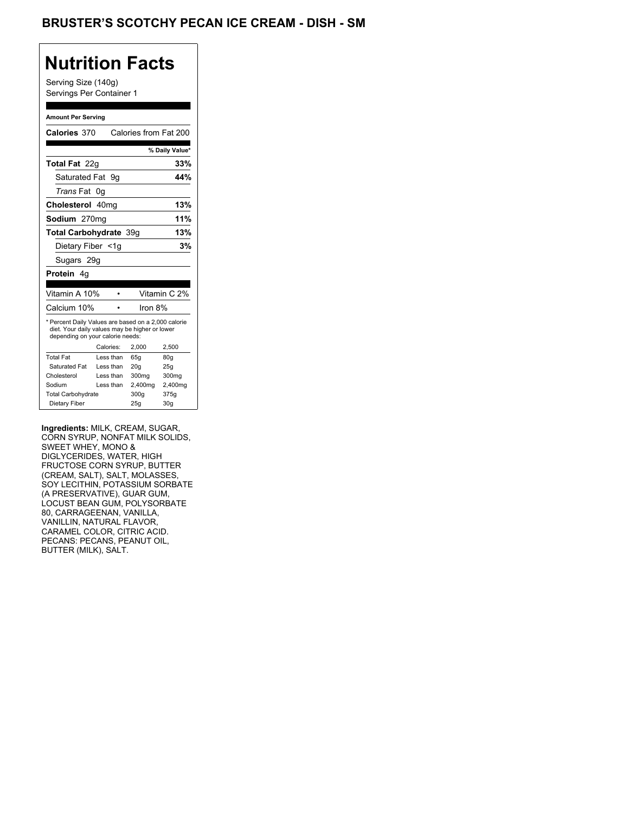## BRUSTER'S SCOTCHY PECAN ICE CREAM - DISH - SM

## **Nutrition Facts**

Serving Size (140g) Servings Per Container 1

#### **Amount Per Serving**

| Calories 370                                                                                                                              |           | Calories from Fat 200 |                |
|-------------------------------------------------------------------------------------------------------------------------------------------|-----------|-----------------------|----------------|
|                                                                                                                                           |           |                       | % Daily Value* |
| Total Fat 22q                                                                                                                             |           |                       | 33%            |
| Saturated Fat                                                                                                                             | 9g        |                       | 44%            |
| <i>Trans</i> Fat                                                                                                                          | 0g        |                       |                |
| Cholesterol 40mg                                                                                                                          |           |                       | 13%            |
| <b>Sodium</b> 270mg                                                                                                                       |           |                       | 11%            |
| Total Carbohydrate 39q                                                                                                                    |           |                       | 13%            |
| Dietary Fiber <1q                                                                                                                         |           |                       | 3%             |
| Sugars 29g                                                                                                                                |           |                       |                |
| <b>Protein</b> 4a                                                                                                                         |           |                       |                |
| Vitamin A 10%                                                                                                                             |           |                       | Vitamin C 2%   |
|                                                                                                                                           |           |                       |                |
| Calcium 10%                                                                                                                               |           | Iron 8%               |                |
| * Percent Daily Values are based on a 2,000 calorie<br>diet. Your daily values may be higher or lower<br>depending on your calorie needs: |           |                       |                |
|                                                                                                                                           |           |                       |                |
|                                                                                                                                           | Calories: | 2,000                 | 2,500          |
| <b>Total Fat</b>                                                                                                                          | Less than | 65q                   | 80q            |
| Saturated Fat                                                                                                                             | Less than | 20q                   | 25q            |
| Cholesterol                                                                                                                               | Less than | 300mg                 | 300mg          |
| Sodium                                                                                                                                    | Less than | 2,400mg               | 2,400mg        |
| <b>Total Carbohydrate</b>                                                                                                                 |           | 300g                  | 375g           |

**Ingredients:** MILK, CREAM, SUGAR, CORN SYRUP, NONFAT MILK SOLIDS, SWEET WHEY, MONO & DIGLYCERIDES, WATER, HIGH FRUCTOSE CORN SYRUP, BUTTER (CREAM, SALT), SALT, MOLASSES, SOY LECITHIN, POTASSIUM SORBATE (A PRESERVATIVE), GUAR GUM, LOCUST BEAN GUM, POLYSORBATE 80, CARRAGEENAN, VANILLA, VANILLIN, NATURAL FLAVOR, CARAMEL COLOR, CITRIC ACID. PECANS: PECANS, PEANUT OIL, BUTTER (MILK), SALT.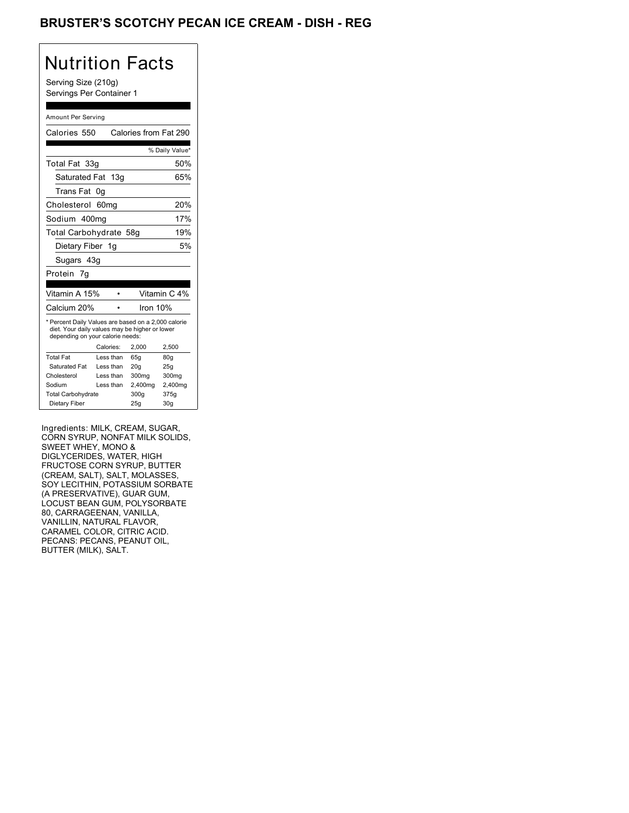## BRUSTER'S SCOTCHY PECAN ICE CREAM - DISH - REG

# Nutrition Facts

Serving Size (210g) Servings Per Container 1

#### Amount Per Serving

| Calories 550                                                                                                                              |                  | Calories from Fat 290 |                 |
|-------------------------------------------------------------------------------------------------------------------------------------------|------------------|-----------------------|-----------------|
|                                                                                                                                           |                  |                       | % Daily Value*  |
| Total Fat 33g                                                                                                                             |                  |                       | 50%             |
| Saturated Fat 13g                                                                                                                         |                  |                       | 65%             |
| Trans Fat                                                                                                                                 | 0g               |                       |                 |
| Cholesterol                                                                                                                               | 60 <sub>mg</sub> |                       | 20%             |
| Sodium 400mg                                                                                                                              |                  |                       | 17%             |
| Total Carbohydrate 58g                                                                                                                    |                  |                       | 19%             |
| Dietary Fiber 1g                                                                                                                          |                  |                       | 5%              |
| Sugars 43g                                                                                                                                |                  |                       |                 |
| Protein<br>7q                                                                                                                             |                  |                       |                 |
|                                                                                                                                           |                  |                       |                 |
| Vitamin A 15%                                                                                                                             |                  |                       | Vitamin C 4%    |
| Calcium 20%                                                                                                                               |                  | Iron 10%              |                 |
| * Percent Daily Values are based on a 2,000 calorie<br>diet. Your daily values may be higher or lower<br>depending on your calorie needs: |                  |                       |                 |
|                                                                                                                                           | Calories:        | 2,000                 | 2,500           |
| <b>Total Fat</b>                                                                                                                          | Less than        | 65g                   | 80g             |
| Saturated Fat                                                                                                                             | Less than        | 20 <sub>g</sub>       | 25g             |
| Cholesterol                                                                                                                               | Less than        | 300mg                 | 300mg           |
| Sodium                                                                                                                                    | Less than        | 2,400mg               | 2,400mg         |
| <b>Total Carbohydrate</b>                                                                                                                 |                  | 300q                  | 375g            |
| Dietary Fiber                                                                                                                             |                  | 25g                   | 30 <sub>g</sub> |

Ingredients: MILK, CREAM, SUGAR, CORN SYRUP, NONFAT MILK SOLIDS, SWEET WHEY, MONO & DIGLYCERIDES, WATER, HIGH FRUCTOSE CORN SYRUP, BUTTER (CREAM, SALT), SALT, MOLASSES, SOY LECITHIN, POTASSIUM SORBATE (A PRESERVATIVE), GUAR GUM, LOCUST BEAN GUM, POLYSORBATE 80, CARRAGEENAN, VANILLA, VANILLIN, NATURAL FLAVOR, CARAMEL COLOR, CITRIC ACID. PECANS: PECANS, PEANUT OIL, BUTTER (MILK), SALT.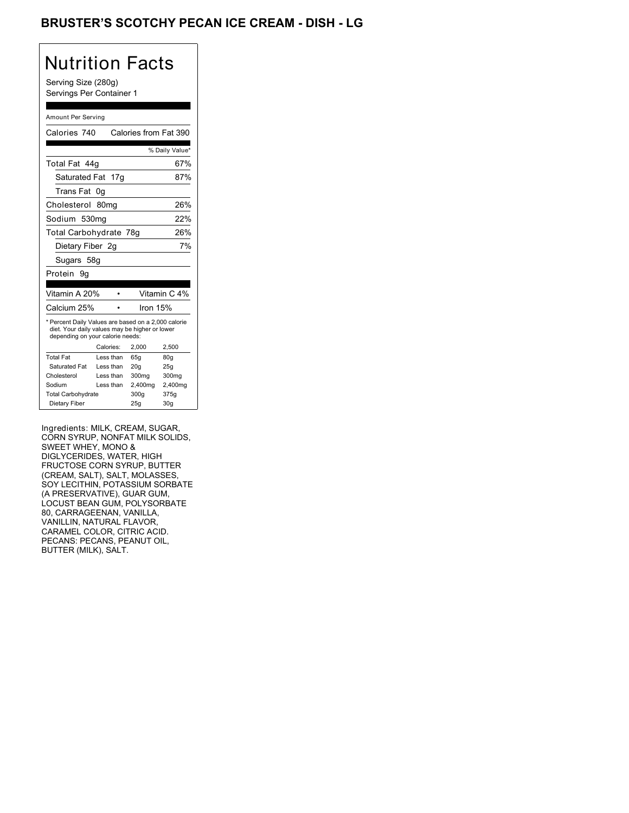## BRUSTER'S SCOTCHY PECAN ICE CREAM - DISH - LG

# Nutrition Facts

Serving Size (280g) Servings Per Container 1

#### Amount Per Serving

| Calories 740                                                                                                                              |                  | Calories from Fat 390 |                 |
|-------------------------------------------------------------------------------------------------------------------------------------------|------------------|-----------------------|-----------------|
|                                                                                                                                           |                  |                       | % Daily Value*  |
| Total Fat 44q                                                                                                                             |                  |                       | 67%             |
| Saturated Fat 17g                                                                                                                         |                  |                       | 87%             |
| Trans Fat                                                                                                                                 | 0g               |                       |                 |
| Cholesterol                                                                                                                               | 80 <sub>mq</sub> |                       | 26%             |
| Sodium 530ma                                                                                                                              |                  |                       | 22%             |
| Total Carbohydrate 78g                                                                                                                    |                  |                       | 26%             |
| Dietary Fiber 2g                                                                                                                          |                  |                       | 7%              |
| Sugars 58g                                                                                                                                |                  |                       |                 |
| Protein<br>9g                                                                                                                             |                  |                       |                 |
|                                                                                                                                           |                  |                       |                 |
| Vitamin A 20%                                                                                                                             |                  |                       | Vitamin C 4%    |
| Calcium 25%                                                                                                                               |                  | lron 15%              |                 |
| * Percent Daily Values are based on a 2,000 calorie<br>diet. Your daily values may be higher or lower<br>depending on your calorie needs: |                  |                       |                 |
|                                                                                                                                           | Calories:        | 2.000                 | 2,500           |
| <b>Total Fat</b>                                                                                                                          | Less than        | 65q                   | 80q             |
| Saturated Fat                                                                                                                             | Less than        | 20q                   | 25q             |
| Cholesterol                                                                                                                               | Less than        | 300mg                 | 300mg           |
| Sodium                                                                                                                                    | Less than        | 2,400mg               | 2,400mg         |
| <b>Total Carbohydrate</b>                                                                                                                 |                  | 300q                  | 375g            |
| Dietary Fiber                                                                                                                             |                  | 25g                   | 30 <sub>g</sub> |

Ingredients: MILK, CREAM, SUGAR, CORN SYRUP, NONFAT MILK SOLIDS, SWEET WHEY, MONO & DIGLYCERIDES, WATER, HIGH FRUCTOSE CORN SYRUP, BUTTER (CREAM, SALT), SALT, MOLASSES, SOY LECITHIN, POTASSIUM SORBATE (A PRESERVATIVE), GUAR GUM, LOCUST BEAN GUM, POLYSORBATE 80, CARRAGEENAN, VANILLA, VANILLIN, NATURAL FLAVOR, CARAMEL COLOR, CITRIC ACID. PECANS: PECANS, PEANUT OIL, BUTTER (MILK), SALT.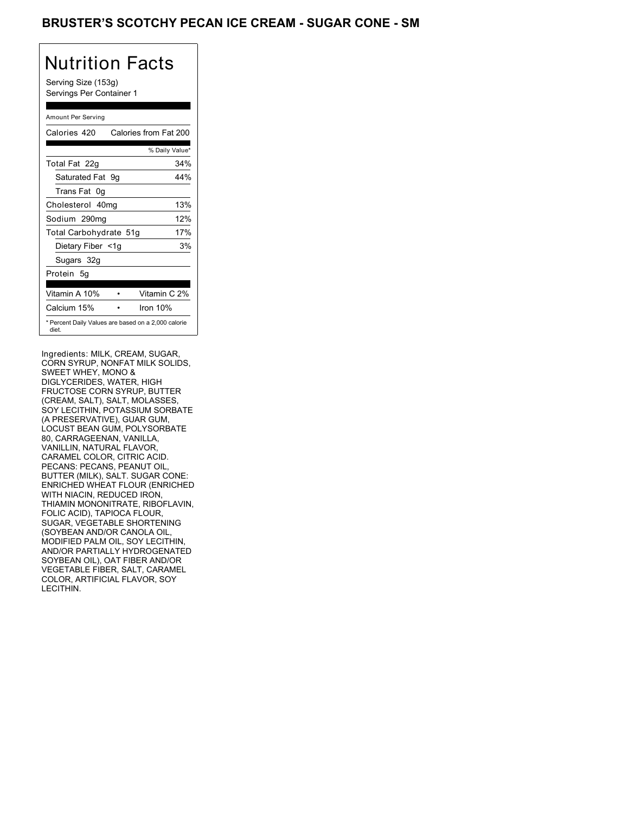### BRUSTER'S SCOTCHY PECAN ICE CREAM - SUGAR CONE - SM

# Nutrition Facts

Serving Size (153g) Servings Per Container 1

### Amount Per Serving

| Calories 420                                                 |  | Calories from Fat 200 |
|--------------------------------------------------------------|--|-----------------------|
|                                                              |  | % Daily Value*        |
| Total Fat 22g                                                |  | 34%                   |
| Saturated Fat 9g                                             |  | 44%                   |
| Trans Fat 0q                                                 |  |                       |
| Cholesterol 40mg                                             |  | 13%                   |
| Sodium 290mg                                                 |  | 12%                   |
| Total Carbohydrate 51g                                       |  | 17%                   |
| Dietary Fiber <1g                                            |  | 3%                    |
| Sugars 32g                                                   |  |                       |
| Protein 5q                                                   |  |                       |
| Vitamin A 10%                                                |  | Vitamin C 2%          |
| Calcium 15%                                                  |  | Iron $10%$            |
| * Percent Daily Values are based on a 2,000 calorie<br>diet. |  |                       |

Ingredients: MILK, CREAM, SUGAR, CORN SYRUP, NONFAT MILK SOLIDS, SWEET WHEY, MONO & DIGLYCERIDES, WATER, HIGH FRUCTOSE CORN SYRUP, BUTTER (CREAM, SALT), SALT, MOLASSES, SOY LECITHIN, POTASSIUM SORBATE (A PRESERVATIVE), GUAR GUM, LOCUST BEAN GUM, POLYSORBATE 80, CARRAGEENAN, VANILLA, VANILLIN, NATURAL FLAVOR, CARAMEL COLOR, CITRIC ACID. PECANS: PECANS, PEANUT OIL, BUTTER (MILK), SALT. SUGAR CONE: ENRICHED WHEAT FLOUR (ENRICHED WITH NIACIN, REDUCED IRON, THIAMIN MONONITRATE, RIBOFLAVIN, FOLIC ACID), TAPIOCA FLOUR, SUGAR, VEGETABLE SHORTENING (SOYBEAN AND/OR CANOLA OIL, MODIFIED PALM OIL, SOY LECITHIN, AND/OR PARTIALLY HYDROGENATED SOYBEAN OIL), OAT FIBER AND/OR VEGETABLE FIBER, SALT, CARAMEL COLOR, ARTIFICIAL FLAVOR, SOY LECITHIN.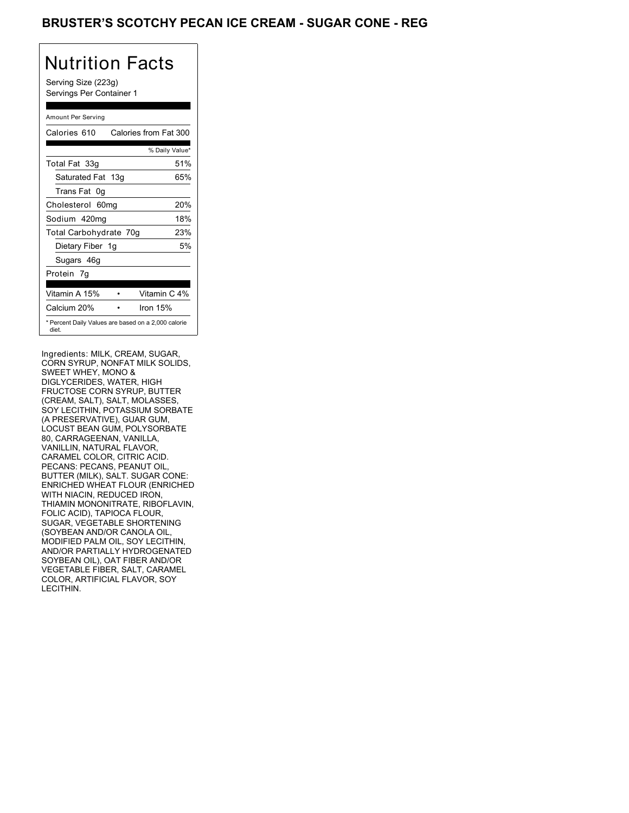### BRUSTER'S SCOTCHY PECAN ICE CREAM - SUGAR CONE - REG

## Nutrition Facts

Serving Size (223g) Servings Per Container 1

### Amount Per Serving

| Calories 610                                                 | Calories from Fat 300 |
|--------------------------------------------------------------|-----------------------|
|                                                              | % Daily Value*        |
| Total Fat 33g                                                | 51%                   |
| Saturated Fat 13g                                            | 65%                   |
| Trans Fat 0q                                                 |                       |
| Cholesterol 60mg                                             | 20%                   |
| Sodium 420mg                                                 | 18%                   |
| Total Carbohydrate 70g                                       | 23%                   |
| Dietary Fiber 1g                                             | 5%                    |
| Sugars 46g                                                   |                       |
| Protein 7q                                                   |                       |
| Vitamin A 15%                                                | Vitamin C 4%          |
| Calcium 20%                                                  | Iron $15%$            |
| * Percent Daily Values are based on a 2,000 calorie<br>diet. |                       |

Ingredients: MILK, CREAM, SUGAR, CORN SYRUP, NONFAT MILK SOLIDS, SWEET WHEY, MONO & DIGLYCERIDES, WATER, HIGH FRUCTOSE CORN SYRUP, BUTTER (CREAM, SALT), SALT, MOLASSES, SOY LECITHIN, POTASSIUM SORBATE (A PRESERVATIVE), GUAR GUM, LOCUST BEAN GUM, POLYSORBATE 80, CARRAGEENAN, VANILLA, VANILLIN, NATURAL FLAVOR, CARAMEL COLOR, CITRIC ACID. PECANS: PECANS, PEANUT OIL, BUTTER (MILK), SALT. SUGAR CONE: ENRICHED WHEAT FLOUR (ENRICHED WITH NIACIN, REDUCED IRON, THIAMIN MONONITRATE, RIBOFLAVIN, FOLIC ACID), TAPIOCA FLOUR, SUGAR, VEGETABLE SHORTENING (SOYBEAN AND/OR CANOLA OIL, MODIFIED PALM OIL, SOY LECITHIN, AND/OR PARTIALLY HYDROGENATED SOYBEAN OIL), OAT FIBER AND/OR VEGETABLE FIBER, SALT, CARAMEL COLOR, ARTIFICIAL FLAVOR, SOY LECITHIN.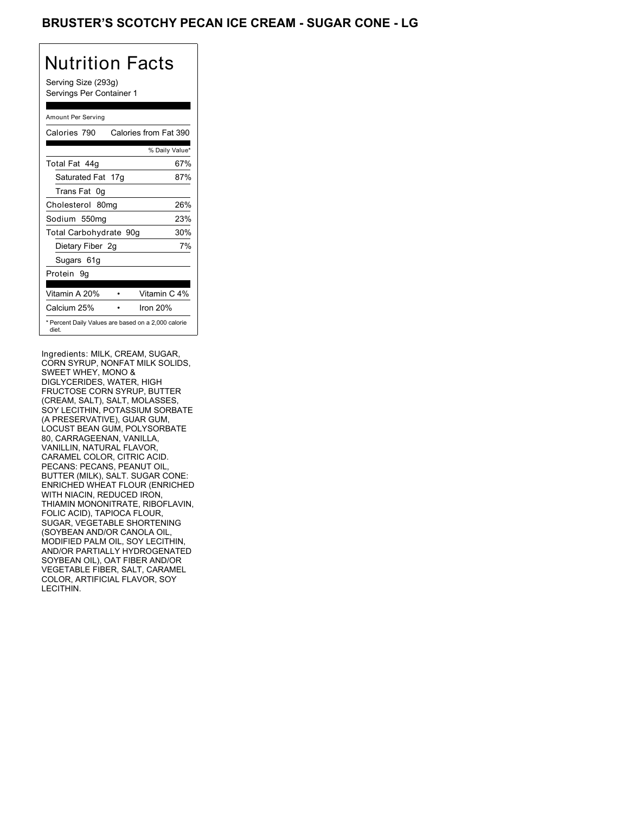### BRUSTER'S SCOTCHY PECAN ICE CREAM - SUGAR CONE - LG

## Nutrition Facts

Serving Size (293g) Servings Per Container 1

### Amount Per Serving

| Calories 790           | Calories from Fat 390                               |
|------------------------|-----------------------------------------------------|
|                        | % Daily Value*                                      |
| Total Fat 44q          | 67%                                                 |
| Saturated Fat 17g      | 87%                                                 |
| Trans Fat 0q           |                                                     |
| Cholesterol 80mg       | 26%                                                 |
| Sodium 550mg           | 23%                                                 |
| Total Carbohydrate 90g | 30%                                                 |
| Dietary Fiber 2g       | 7%                                                  |
| Sugars 61g             |                                                     |
| Protein 9q             |                                                     |
|                        |                                                     |
| Vitamin A 20%          | Vitamin C 4%                                        |
| Calcium 25%            | Iron $20%$                                          |
| diet.                  | * Percent Daily Values are based on a 2,000 calorie |

Ingredients: MILK, CREAM, SUGAR, CORN SYRUP, NONFAT MILK SOLIDS, SWEET WHEY, MONO & DIGLYCERIDES, WATER, HIGH FRUCTOSE CORN SYRUP, BUTTER (CREAM, SALT), SALT, MOLASSES, SOY LECITHIN, POTASSIUM SORBATE (A PRESERVATIVE), GUAR GUM, LOCUST BEAN GUM, POLYSORBATE 80, CARRAGEENAN, VANILLA, VANILLIN, NATURAL FLAVOR, CARAMEL COLOR, CITRIC ACID. PECANS: PECANS, PEANUT OIL, BUTTER (MILK), SALT. SUGAR CONE: ENRICHED WHEAT FLOUR (ENRICHED WITH NIACIN, REDUCED IRON, THIAMIN MONONITRATE, RIBOFLAVIN, FOLIC ACID), TAPIOCA FLOUR, SUGAR, VEGETABLE SHORTENING (SOYBEAN AND/OR CANOLA OIL, MODIFIED PALM OIL, SOY LECITHIN, AND/OR PARTIALLY HYDROGENATED SOYBEAN OIL), OAT FIBER AND/OR VEGETABLE FIBER, SALT, CARAMEL COLOR, ARTIFICIAL FLAVOR, SOY LECITHIN.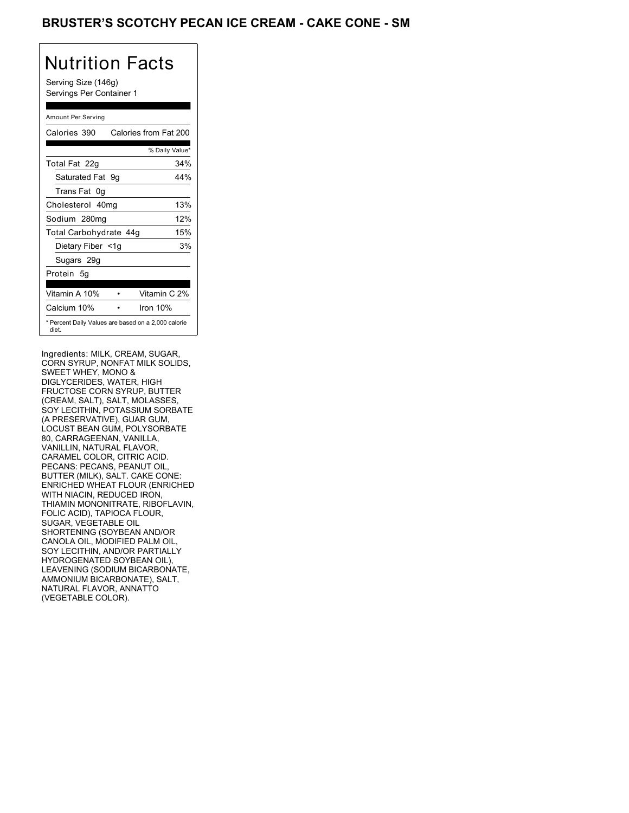### BRUSTER'S SCOTCHY PECAN ICE CREAM - CAKE CONE - SM

# Nutrition Facts

Serving Size (146g) Servings Per Container 1

### Amount Per Serving

| Calories 390                                                 |  | Calories from Fat 200 |
|--------------------------------------------------------------|--|-----------------------|
|                                                              |  | % Daily Value*        |
| Total Fat 22g                                                |  | 34%                   |
| Saturated Fat 9g                                             |  | 44%                   |
| Trans Fat 0q                                                 |  |                       |
| Cholesterol 40mg                                             |  | 13%                   |
| Sodium 280mg                                                 |  | 12%                   |
| Total Carbohydrate 44g                                       |  | 15%                   |
| Dietary Fiber <1g                                            |  | 3%                    |
| Sugars 29g                                                   |  |                       |
| Protein 5q                                                   |  |                       |
| Vitamin A 10%                                                |  | Vitamin C 2%          |
| Calcium 10%                                                  |  | Iron $10%$            |
| * Percent Daily Values are based on a 2,000 calorie<br>diet. |  |                       |

Ingredients: MILK, CREAM, SUGAR, CORN SYRUP, NONFAT MILK SOLIDS, SWEET WHEY, MONO & DIGLYCERIDES, WATER, HIGH FRUCTOSE CORN SYRUP, BUTTER (CREAM, SALT), SALT, MOLASSES, SOY LECITHIN, POTASSIUM SORBATE (A PRESERVATIVE), GUAR GUM, LOCUST BEAN GUM, POLYSORBATE 80, CARRAGEENAN, VANILLA, VANILLIN, NATURAL FLAVOR, CARAMEL COLOR, CITRIC ACID. PECANS: PECANS, PEANUT OIL, BUTTER (MILK), SALT. CAKE CONE: ENRICHED WHEAT FLOUR (ENRICHED WITH NIACIN, REDUCED IRON, THIAMIN MONONITRATE, RIBOFLAVIN, FOLIC ACID), TAPIOCA FLOUR, SUGAR, VEGETABLE OIL SHORTENING (SOYBEAN AND/OR CANOLA OIL, MODIFIED PALM OIL, SOY LECITHIN, AND/OR PARTIALLY HYDROGENATED SOYBEAN OIL), LEAVENING (SODIUM BICARBONATE, AMMONIUM BICARBONATE), SALT, NATURAL FLAVOR, ANNATTO (VEGETABLE COLOR).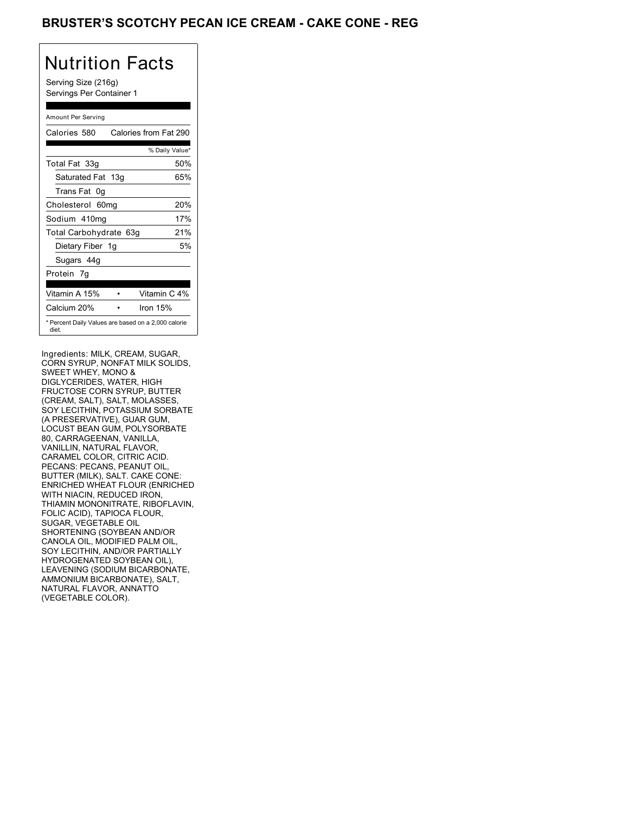### BRUSTER'S SCOTCHY PECAN ICE CREAM - CAKE CONE - REG

# Nutrition Facts

Serving Size (216g) Servings Per Container 1

### Amount Per Serving

| Calories 580                                                 | Calories from Fat 290 |
|--------------------------------------------------------------|-----------------------|
|                                                              | % Daily Value*        |
| Total Fat 33g                                                | 50%                   |
| Saturated Fat 13g                                            | 65%                   |
| Trans Fat 0q                                                 |                       |
| Cholesterol 60mg                                             | 20%                   |
| Sodium 410mg                                                 | 17%                   |
| Total Carbohydrate 63g                                       | 21%                   |
| Dietary Fiber 1g                                             | 5%                    |
| Sugars 44g                                                   |                       |
| Protein 7q                                                   |                       |
| Vitamin A 15%                                                | Vitamin C 4%          |
| Calcium 20%                                                  | Iron $15%$            |
| * Percent Daily Values are based on a 2,000 calorie<br>diet. |                       |

Ingredients: MILK, CREAM, SUGAR, CORN SYRUP, NONFAT MILK SOLIDS, SWEET WHEY, MONO & DIGLYCERIDES, WATER, HIGH FRUCTOSE CORN SYRUP, BUTTER (CREAM, SALT), SALT, MOLASSES, SOY LECITHIN, POTASSIUM SORBATE (A PRESERVATIVE), GUAR GUM, LOCUST BEAN GUM, POLYSORBATE 80, CARRAGEENAN, VANILLA, VANILLIN, NATURAL FLAVOR, CARAMEL COLOR, CITRIC ACID. PECANS: PECANS, PEANUT OIL, BUTTER (MILK), SALT. CAKE CONE: ENRICHED WHEAT FLOUR (ENRICHED WITH NIACIN, REDUCED IRON, THIAMIN MONONITRATE, RIBOFLAVIN, FOLIC ACID), TAPIOCA FLOUR, SUGAR, VEGETABLE OIL SHORTENING (SOYBEAN AND/OR CANOLA OIL, MODIFIED PALM OIL, SOY LECITHIN, AND/OR PARTIALLY HYDROGENATED SOYBEAN OIL), LEAVENING (SODIUM BICARBONATE, AMMONIUM BICARBONATE), SALT, NATURAL FLAVOR, ANNATTO (VEGETABLE COLOR).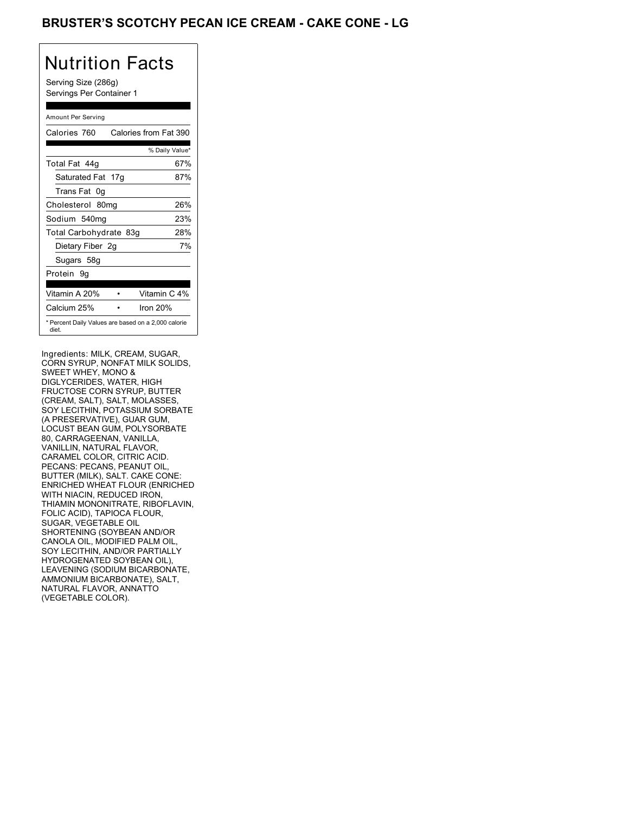### BRUSTER'S SCOTCHY PECAN ICE CREAM - CAKE CONE - LG

## Nutrition Facts

Serving Size (286g) Servings Per Container 1

### Amount Per Serving

| Calories 760           | Calories from Fat 390                               |
|------------------------|-----------------------------------------------------|
|                        | % Daily Value*                                      |
| Total Fat 44q          | 67%                                                 |
| Saturated Fat 17g      | 87%                                                 |
| Trans Fat 0q           |                                                     |
| Cholesterol 80mg       | 26%                                                 |
| Sodium 540mg           | 23%                                                 |
| Total Carbohydrate 83g | 28%                                                 |
| Dietary Fiber 2g       | 7%                                                  |
| Sugars 58g             |                                                     |
| Protein 9q             |                                                     |
|                        |                                                     |
| Vitamin A 20%          | Vitamin C 4%                                        |
| Calcium 25%            | Iron $20%$                                          |
| diet.                  | * Percent Daily Values are based on a 2,000 calorie |

Ingredients: MILK, CREAM, SUGAR, CORN SYRUP, NONFAT MILK SOLIDS, SWEET WHEY, MONO & DIGLYCERIDES, WATER, HIGH FRUCTOSE CORN SYRUP, BUTTER (CREAM, SALT), SALT, MOLASSES, SOY LECITHIN, POTASSIUM SORBATE (A PRESERVATIVE), GUAR GUM, LOCUST BEAN GUM, POLYSORBATE 80, CARRAGEENAN, VANILLA, VANILLIN, NATURAL FLAVOR, CARAMEL COLOR, CITRIC ACID. PECANS: PECANS, PEANUT OIL, BUTTER (MILK), SALT. CAKE CONE: ENRICHED WHEAT FLOUR (ENRICHED WITH NIACIN, REDUCED IRON, THIAMIN MONONITRATE, RIBOFLAVIN, FOLIC ACID), TAPIOCA FLOUR, SUGAR, VEGETABLE OIL SHORTENING (SOYBEAN AND/OR CANOLA OIL, MODIFIED PALM OIL, SOY LECITHIN, AND/OR PARTIALLY HYDROGENATED SOYBEAN OIL), LEAVENING (SODIUM BICARBONATE, AMMONIUM BICARBONATE), SALT, NATURAL FLAVOR, ANNATTO (VEGETABLE COLOR).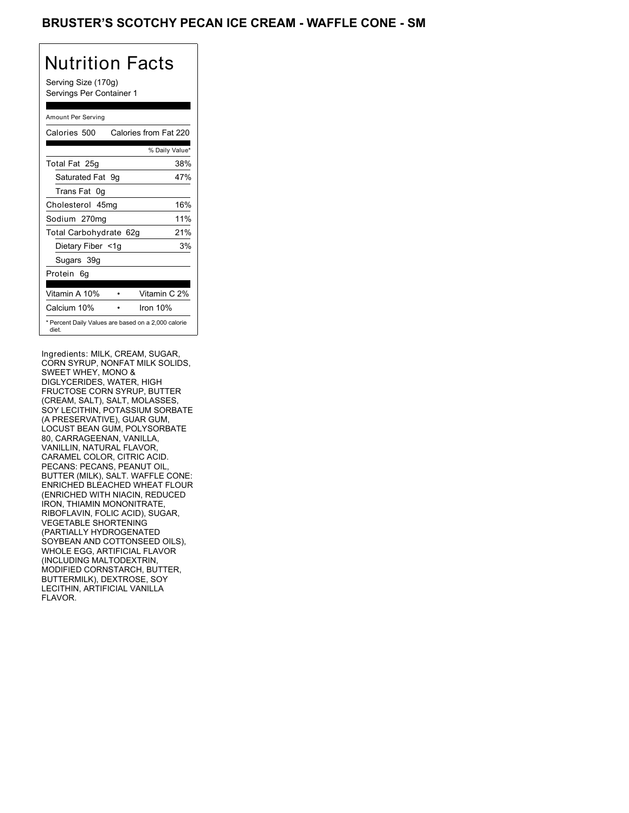### BRUSTER'S SCOTCHY PECAN ICE CREAM - WAFFLE CONE - SM

## Nutrition Facts

Serving Size (170g) Servings Per Container 1

### Amount Per Serving

| Calories 500           | Calories from Fat 220                               |
|------------------------|-----------------------------------------------------|
|                        | % Daily Value*                                      |
| Total Fat 25g          | 38%                                                 |
| Saturated Fat 9g       | 47%                                                 |
| Trans Fat 0q           |                                                     |
| Cholesterol 45mg       | 16%                                                 |
| Sodium 270mg           | 11%                                                 |
| Total Carbohydrate 62g | 21%                                                 |
| Dietary Fiber <1g      | 3%                                                  |
| Sugars 39g             |                                                     |
| Protein 6q             |                                                     |
| Vitamin A 10%          | Vitamin C 2%                                        |
| Calcium 10%            | Iron $10%$                                          |
| diet.                  | * Percent Daily Values are based on a 2,000 calorie |

Ingredients: MILK, CREAM, SUGAR, CORN SYRUP, NONFAT MILK SOLIDS, SWEET WHEY, MONO & DIGLYCERIDES, WATER, HIGH FRUCTOSE CORN SYRUP, BUTTER (CREAM, SALT), SALT, MOLASSES, SOY LECITHIN, POTASSIUM SORBATE (A PRESERVATIVE), GUAR GUM, LOCUST BEAN GUM, POLYSORBATE 80, CARRAGEENAN, VANILLA, VANILLIN, NATURAL FLAVOR, CARAMEL COLOR, CITRIC ACID. PECANS: PECANS, PEANUT OIL, BUTTER (MILK), SALT. WAFFLE CONE: ENRICHED BLEACHED WHEAT FLOUR (ENRICHED WITH NIACIN, REDUCED IRON, THIAMIN MONONITRATE, RIBOFLAVIN, FOLIC ACID), SUGAR, VEGETABLE SHORTENING (PARTIALLY HYDROGENATED SOYBEAN AND COTTONSEED OILS), WHOLE EGG, ARTIFICIAL FLAVOR (INCLUDING MALTODEXTRIN, MODIFIED CORNSTARCH, BUTTER, BUTTERMILK), DEXTROSE, SOY LECITHIN, ARTIFICIAL VANILLA FLAVOR.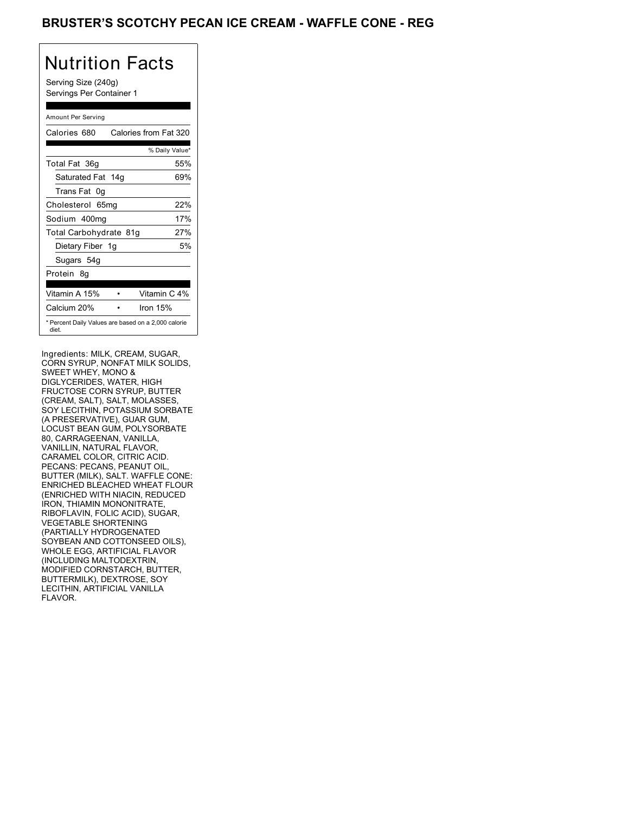### BRUSTER'S SCOTCHY PECAN ICE CREAM - WAFFLE CONE - REG

# Nutrition Facts

Serving Size (240g) Servings Per Container 1

### Amount Per Serving

| Calories 680                                                 | Calories from Fat 320 |
|--------------------------------------------------------------|-----------------------|
|                                                              | % Daily Value*        |
| Total Fat 36g                                                | 55%                   |
| Saturated Fat 14g                                            | 69%                   |
| Trans Fat 0q                                                 |                       |
| Cholesterol 65mg                                             | 22%                   |
| Sodium 400mg                                                 | 17%                   |
| Total Carbohydrate 81g                                       | 27%                   |
| Dietary Fiber 1g                                             | 5%                    |
| Sugars 54g                                                   |                       |
| Protein 8q                                                   |                       |
|                                                              |                       |
| Vitamin A 15%                                                | Vitamin C 4%          |
| Calcium 20%                                                  | Iron $15%$            |
| * Percent Daily Values are based on a 2,000 calorie<br>diet. |                       |

Ingredients: MILK, CREAM, SUGAR, CORN SYRUP, NONFAT MILK SOLIDS, SWEET WHEY, MONO & DIGLYCERIDES, WATER, HIGH FRUCTOSE CORN SYRUP, BUTTER (CREAM, SALT), SALT, MOLASSES, SOY LECITHIN, POTASSIUM SORBATE (A PRESERVATIVE), GUAR GUM, LOCUST BEAN GUM, POLYSORBATE 80, CARRAGEENAN, VANILLA, VANILLIN, NATURAL FLAVOR, CARAMEL COLOR, CITRIC ACID. PECANS: PECANS, PEANUT OIL, BUTTER (MILK), SALT. WAFFLE CONE: ENRICHED BLEACHED WHEAT FLOUR (ENRICHED WITH NIACIN, REDUCED IRON, THIAMIN MONONITRATE, RIBOFLAVIN, FOLIC ACID), SUGAR, VEGETABLE SHORTENING (PARTIALLY HYDROGENATED SOYBEAN AND COTTONSEED OILS), WHOLE EGG, ARTIFICIAL FLAVOR (INCLUDING MALTODEXTRIN, MODIFIED CORNSTARCH, BUTTER, BUTTERMILK), DEXTROSE, SOY LECITHIN, ARTIFICIAL VANILLA FLAVOR.